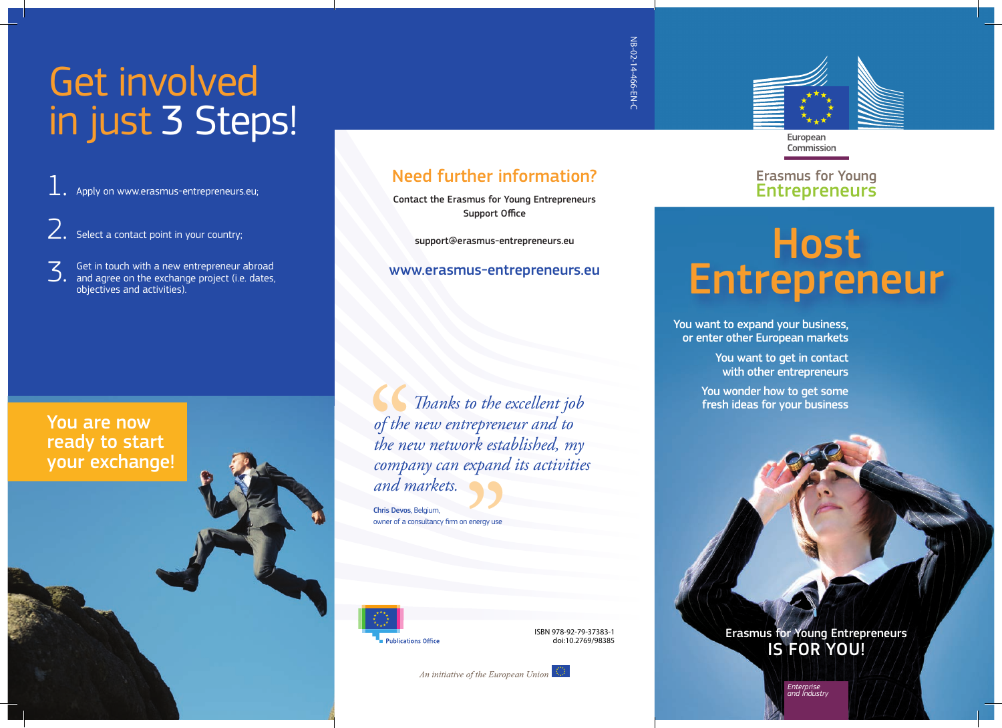## Get involved in just 3 Steps!

Apply on www.erasmus-entrepreneurs.eu; 1.

 $2.$  Select a contact point in your country;

Get in touch with a new entrepreneur abroad 3. Get in touch with a new entrepreneur abroad<br>and agree on the exchange project (i.e. dates,<br>chiertives and activities) objectives and activities).

#### You are now ready to start your exchange!

Need further information?

Contact the Erasmus for Young Entrepreneurs Support Office

support@erasmus-entrepreneurs.eu

#### www.erasmus-entrepreneurs.eu

*Thanks to the excellent job of the new entrepreneur and to the new network established, my company can expand its activities and markets.* of the<br>of the<br>compo trepren<br>ork esta<br>expana<br>**}}** 

Chris Devos, Belgium, owner of a consultancy firm on energy use



ISBN 978-92-79-37383-1 doi:10.2769/98385

An initiative of the European Union

NB-02-14-466-EN-C

NB-02-14-466-EN-C

European Commission

Erasmus for Young **Entrepreneurs** 

# Host Entrepreneur

You want to expand your business, or enter other European markets

> You want to get in contact with other entrepreneurs

You wonder how to get some fresh ideas for your business

> Erasmus for Young Entrepreneurs IS FOR YOU!

> > *Enterprise and Industry*